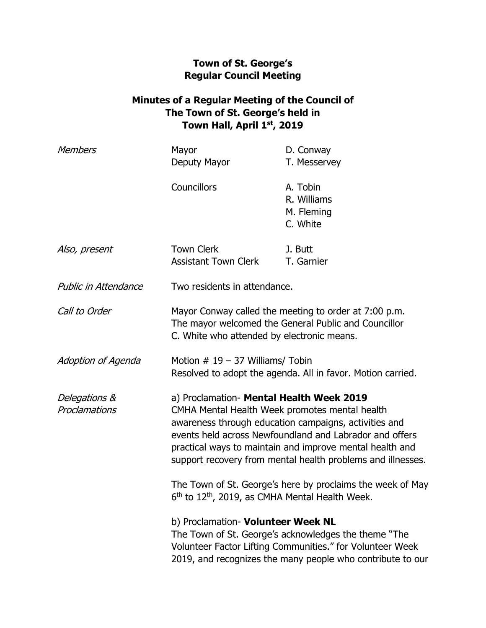## **Town of St. George's Regular Council Meeting**

## **Minutes of a Regular Meeting of the Council of The Town of St. George's held in Town Hall, April 1st, 2019**

| <b>Members</b>                 | Mayor                                                                                                                                                                                                                                                                                                                                     | D. Conway                                                                                                                                                                       |
|--------------------------------|-------------------------------------------------------------------------------------------------------------------------------------------------------------------------------------------------------------------------------------------------------------------------------------------------------------------------------------------|---------------------------------------------------------------------------------------------------------------------------------------------------------------------------------|
|                                | Deputy Mayor                                                                                                                                                                                                                                                                                                                              | T. Messervey                                                                                                                                                                    |
|                                | <b>Councillors</b>                                                                                                                                                                                                                                                                                                                        | A. Tobin                                                                                                                                                                        |
|                                |                                                                                                                                                                                                                                                                                                                                           | R. Williams                                                                                                                                                                     |
|                                |                                                                                                                                                                                                                                                                                                                                           | M. Fleming                                                                                                                                                                      |
|                                |                                                                                                                                                                                                                                                                                                                                           | C. White                                                                                                                                                                        |
| Also, present                  | <b>Town Clerk</b>                                                                                                                                                                                                                                                                                                                         | J. Butt                                                                                                                                                                         |
|                                | <b>Assistant Town Clerk</b>                                                                                                                                                                                                                                                                                                               | T. Garnier                                                                                                                                                                      |
| Public in Attendance           | Two residents in attendance.                                                                                                                                                                                                                                                                                                              |                                                                                                                                                                                 |
| Call to Order                  | Mayor Conway called the meeting to order at 7:00 p.m.<br>The mayor welcomed the General Public and Councillor<br>C. White who attended by electronic means.                                                                                                                                                                               |                                                                                                                                                                                 |
| Adoption of Agenda             | Motion $# 19 - 37$ Williams/ Tobin<br>Resolved to adopt the agenda. All in favor. Motion carried.                                                                                                                                                                                                                                         |                                                                                                                                                                                 |
| Delegations &<br>Proclamations | a) Proclamation- Mental Health Week 2019<br>CMHA Mental Health Week promotes mental health<br>awareness through education campaigns, activities and<br>events held across Newfoundland and Labrador and offers<br>practical ways to maintain and improve mental health and<br>support recovery from mental health problems and illnesses. |                                                                                                                                                                                 |
|                                | $6th$ to 12 <sup>th</sup> , 2019, as CMHA Mental Health Week.                                                                                                                                                                                                                                                                             | The Town of St. George's here by proclaims the week of May                                                                                                                      |
|                                | b) Proclamation- Volunteer Week NL                                                                                                                                                                                                                                                                                                        | The Town of St. George's acknowledges the theme "The<br>Volunteer Factor Lifting Communities." for Volunteer Week<br>2019, and recognizes the many people who contribute to our |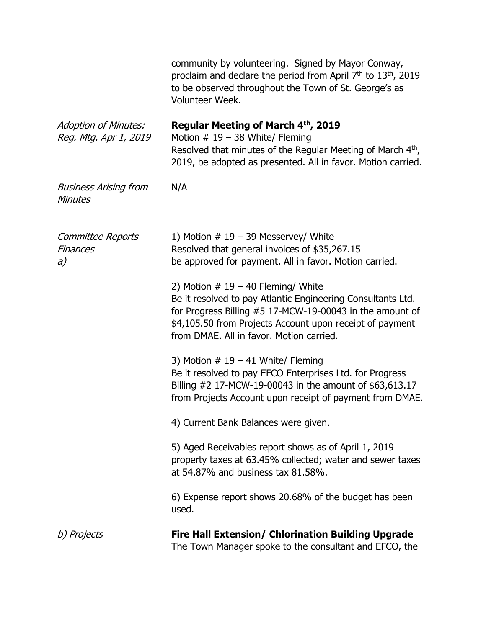|                                                      | community by volunteering. Signed by Mayor Conway,<br>proclaim and declare the period from April 7 <sup>th</sup> to 13 <sup>th</sup> , 2019<br>to be observed throughout the Town of St. George's as<br>Volunteer Week.                                                 |
|------------------------------------------------------|-------------------------------------------------------------------------------------------------------------------------------------------------------------------------------------------------------------------------------------------------------------------------|
| <b>Adoption of Minutes:</b><br>Reg. Mtg. Apr 1, 2019 | Regular Meeting of March 4th, 2019<br>Motion $# 19 - 38$ White/ Fleming<br>Resolved that minutes of the Regular Meeting of March 4 <sup>th</sup> ,<br>2019, be adopted as presented. All in favor. Motion carried.                                                      |
| <b>Business Arising from</b><br><b>Minutes</b>       | N/A                                                                                                                                                                                                                                                                     |
| Committee Reports<br><b>Finances</b><br>a)           | 1) Motion $# 19 - 39$ Messervey/ White<br>Resolved that general invoices of \$35,267.15<br>be approved for payment. All in favor. Motion carried.                                                                                                                       |
|                                                      | 2) Motion $# 19 - 40$ Fleming/ White<br>Be it resolved to pay Atlantic Engineering Consultants Ltd.<br>for Progress Billing #5 17-MCW-19-00043 in the amount of<br>\$4,105.50 from Projects Account upon receipt of payment<br>from DMAE. All in favor. Motion carried. |
|                                                      | 3) Motion $# 19 - 41$ White/ Fleming<br>Be it resolved to pay EFCO Enterprises Ltd. for Progress<br>Billing #2 17-MCW-19-00043 in the amount of \$63,613.17<br>from Projects Account upon receipt of payment from DMAE.                                                 |
|                                                      | 4) Current Bank Balances were given.                                                                                                                                                                                                                                    |
|                                                      | 5) Aged Receivables report shows as of April 1, 2019<br>property taxes at 63.45% collected; water and sewer taxes<br>at 54.87% and business tax 81.58%.                                                                                                                 |
|                                                      | 6) Expense report shows 20.68% of the budget has been<br>used.                                                                                                                                                                                                          |
| b) Projects                                          | <b>Fire Hall Extension/ Chlorination Building Upgrade</b><br>The Town Manager spoke to the consultant and EFCO, the                                                                                                                                                     |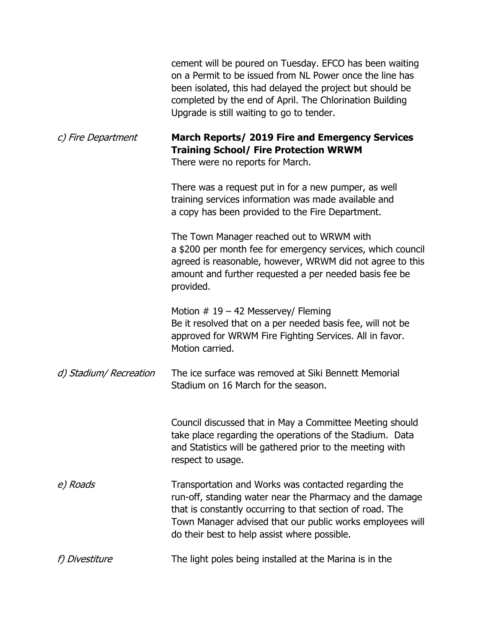|                        | cement will be poured on Tuesday. EFCO has been waiting<br>on a Permit to be issued from NL Power once the line has<br>been isolated, this had delayed the project but should be<br>completed by the end of April. The Chlorination Building<br>Upgrade is still waiting to go to tender.  |
|------------------------|--------------------------------------------------------------------------------------------------------------------------------------------------------------------------------------------------------------------------------------------------------------------------------------------|
| c) Fire Department     | March Reports/ 2019 Fire and Emergency Services<br><b>Training School/ Fire Protection WRWM</b><br>There were no reports for March.                                                                                                                                                        |
|                        | There was a request put in for a new pumper, as well<br>training services information was made available and<br>a copy has been provided to the Fire Department.                                                                                                                           |
|                        | The Town Manager reached out to WRWM with<br>a \$200 per month fee for emergency services, which council<br>agreed is reasonable, however, WRWM did not agree to this<br>amount and further requested a per needed basis fee be<br>provided.                                               |
|                        | Motion $# 19 - 42$ Messervey/ Fleming<br>Be it resolved that on a per needed basis fee, will not be<br>approved for WRWM Fire Fighting Services. All in favor.<br>Motion carried.                                                                                                          |
| d) Stadium/ Recreation | The ice surface was removed at Siki Bennett Memorial<br>Stadium on 16 March for the season.                                                                                                                                                                                                |
|                        | Council discussed that in May a Committee Meeting should<br>take place regarding the operations of the Stadium. Data<br>and Statistics will be gathered prior to the meeting with<br>respect to usage.                                                                                     |
| e) Roads               | Transportation and Works was contacted regarding the<br>run-off, standing water near the Pharmacy and the damage<br>that is constantly occurring to that section of road. The<br>Town Manager advised that our public works employees will<br>do their best to help assist where possible. |
| f) Divestiture         | The light poles being installed at the Marina is in the                                                                                                                                                                                                                                    |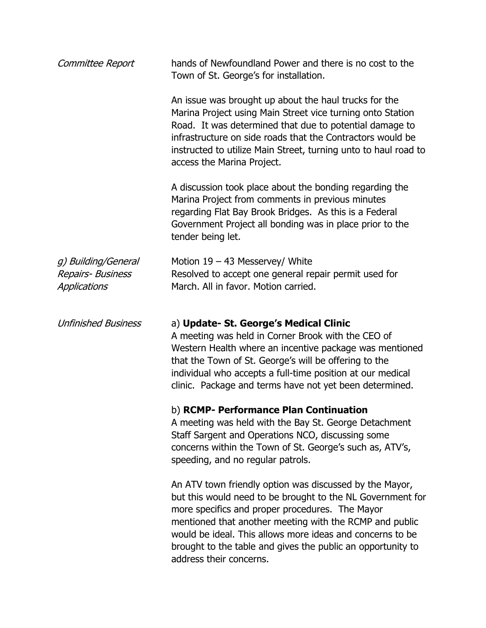| Committee Report                                                | hands of Newfoundland Power and there is no cost to the<br>Town of St. George's for installation.                                                                                                                                                                                                                                                                                          |  |
|-----------------------------------------------------------------|--------------------------------------------------------------------------------------------------------------------------------------------------------------------------------------------------------------------------------------------------------------------------------------------------------------------------------------------------------------------------------------------|--|
|                                                                 | An issue was brought up about the haul trucks for the<br>Marina Project using Main Street vice turning onto Station<br>Road. It was determined that due to potential damage to<br>infrastructure on side roads that the Contractors would be<br>instructed to utilize Main Street, turning unto to haul road to<br>access the Marina Project.                                              |  |
|                                                                 | A discussion took place about the bonding regarding the<br>Marina Project from comments in previous minutes<br>regarding Flat Bay Brook Bridges. As this is a Federal<br>Government Project all bonding was in place prior to the<br>tender being let.                                                                                                                                     |  |
| g) Building/General<br><b>Repairs- Business</b><br>Applications | Motion 19 - 43 Messervey/ White<br>Resolved to accept one general repair permit used for<br>March. All in favor. Motion carried.                                                                                                                                                                                                                                                           |  |
| <b>Unfinished Business</b>                                      | a) Update- St. George's Medical Clinic<br>A meeting was held in Corner Brook with the CEO of<br>Western Health where an incentive package was mentioned<br>that the Town of St. George's will be offering to the<br>individual who accepts a full-time position at our medical<br>clinic. Package and terms have not yet been determined.                                                  |  |
|                                                                 | b) RCMP- Performance Plan Continuation<br>A meeting was held with the Bay St. George Detachment<br>Staff Sargent and Operations NCO, discussing some<br>concerns within the Town of St. George's such as, ATV's,<br>speeding, and no regular patrols.                                                                                                                                      |  |
|                                                                 | An ATV town friendly option was discussed by the Mayor,<br>but this would need to be brought to the NL Government for<br>more specifics and proper procedures. The Mayor<br>mentioned that another meeting with the RCMP and public<br>would be ideal. This allows more ideas and concerns to be<br>brought to the table and gives the public an opportunity to<br>address their concerns. |  |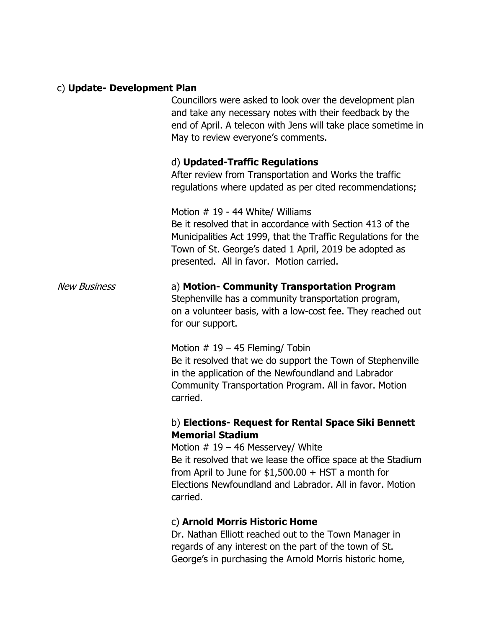#### c) **Update- Development Plan**

Councillors were asked to look over the development plan and take any necessary notes with their feedback by the end of April. A telecon with Jens will take place sometime in May to review everyone's comments.

### d) **Updated-Traffic Regulations**

After review from Transportation and Works the traffic regulations where updated as per cited recommendations;

Motion # 19 - 44 White/ Williams Be it resolved that in accordance with Section 413 of the Municipalities Act 1999, that the Traffic Regulations for the Town of St. George's dated 1 April, 2019 be adopted as presented. All in favor. Motion carried.

# New Business a) **Motion- Community Transportation Program** Stephenville has a community transportation program,

on a volunteer basis, with a low-cost fee. They reached out for our support.

Motion  $# 19 - 45$  Fleming/ Tobin

Be it resolved that we do support the Town of Stephenville in the application of the Newfoundland and Labrador Community Transportation Program. All in favor. Motion carried.

## b) **Elections- Request for Rental Space Siki Bennett Memorial Stadium**

Motion  $# 19 - 46$  Messervey/ White Be it resolved that we lease the office space at the Stadium from April to June for  $$1,500.00 + HST$  a month for Elections Newfoundland and Labrador. All in favor. Motion carried.

## c) **Arnold Morris Historic Home**

Dr. Nathan Elliott reached out to the Town Manager in regards of any interest on the part of the town of St. George's in purchasing the Arnold Morris historic home,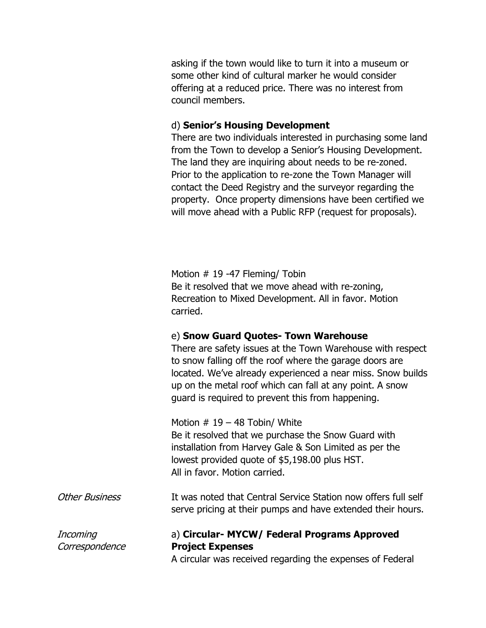asking if the town would like to turn it into a museum or some other kind of cultural marker he would consider offering at a reduced price. There was no interest from council members.

#### d) **Senior's Housing Development**

There are two individuals interested in purchasing some land from the Town to develop a Senior's Housing Development. The land they are inquiring about needs to be re-zoned. Prior to the application to re-zone the Town Manager will contact the Deed Registry and the surveyor regarding the property. Once property dimensions have been certified we will move ahead with a Public RFP (request for proposals).

Motion # 19 -47 Fleming/ Tobin Be it resolved that we move ahead with re-zoning, Recreation to Mixed Development. All in favor. Motion carried.

#### e) **Snow Guard Quotes- Town Warehouse**

There are safety issues at the Town Warehouse with respect to snow falling off the roof where the garage doors are located. We've already experienced a near miss. Snow builds up on the metal roof which can fall at any point. A snow guard is required to prevent this from happening.

Motion  $# 19 - 48$  Tobin/ White Be it resolved that we purchase the Snow Guard with installation from Harvey Gale & Son Limited as per the lowest provided quote of \$5,198.00 plus HST. All in favor. Motion carried.

| <b>Other Business</b> | It was noted that Central Service Station now offers full self |
|-----------------------|----------------------------------------------------------------|
|                       | serve pricing at their pumps and have extended their hours.    |

## Incoming a) **Circular- MYCW/ Federal Programs Approved**  Correspondence **Project Expenses**

A circular was received regarding the expenses of Federal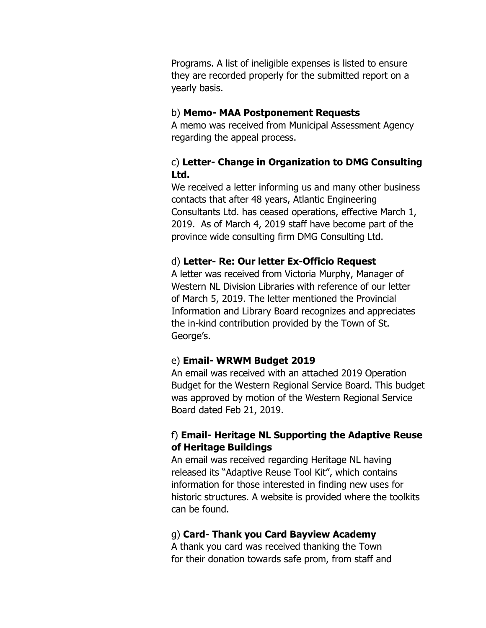Programs. A list of ineligible expenses is listed to ensure they are recorded properly for the submitted report on a yearly basis.

#### b) **Memo- MAA Postponement Requests**

A memo was received from Municipal Assessment Agency regarding the appeal process.

## c) **Letter- Change in Organization to DMG Consulting Ltd.**

We received a letter informing us and many other business contacts that after 48 years, Atlantic Engineering Consultants Ltd. has ceased operations, effective March 1, 2019. As of March 4, 2019 staff have become part of the province wide consulting firm DMG Consulting Ltd.

## d) **Letter- Re: Our letter Ex-Officio Request**

A letter was received from Victoria Murphy, Manager of Western NL Division Libraries with reference of our letter of March 5, 2019. The letter mentioned the Provincial Information and Library Board recognizes and appreciates the in-kind contribution provided by the Town of St. George's.

### e) **Email- WRWM Budget 2019**

An email was received with an attached 2019 Operation Budget for the Western Regional Service Board. This budget was approved by motion of the Western Regional Service Board dated Feb 21, 2019.

## f) **Email- Heritage NL Supporting the Adaptive Reuse of Heritage Buildings**

An email was received regarding Heritage NL having released its "Adaptive Reuse Tool Kit", which contains information for those interested in finding new uses for historic structures. A website is provided where the toolkits can be found.

### g) **Card- Thank you Card Bayview Academy**

A thank you card was received thanking the Town for their donation towards safe prom, from staff and